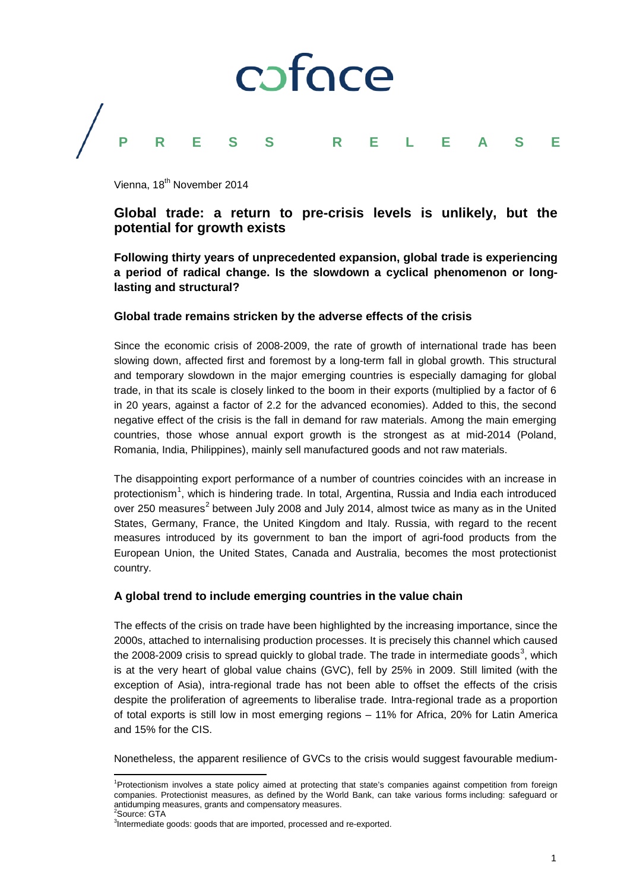

Vienna, 18<sup>th</sup> November 2014

# **Global trade: a return to pre-crisis levels is unlikely, but the potential for growth exists**

**Following thirty years of unprecedented expansion, global trade is experiencing a period of radical change. Is the slowdown a cyclical phenomenon or longlasting and structural?**

### **Global trade remains stricken by the adverse effects of the crisis**

Since the economic crisis of 2008-2009, the rate of growth of international trade has been slowing down, affected first and foremost by a long-term fall in global growth. This structural and temporary slowdown in the major emerging countries is especially damaging for global trade, in that its scale is closely linked to the boom in their exports (multiplied by a factor of 6 in 20 years, against a factor of 2.2 for the advanced economies). Added to this, the second negative effect of the crisis is the fall in demand for raw materials. Among the main emerging countries, those whose annual export growth is the strongest as at mid-2014 (Poland, Romania, India, Philippines), mainly sell manufactured goods and not raw materials.

The disappointing export performance of a number of countries coincides with an increase in protectionism<sup>[1](#page-0-0)</sup>, which is hindering trade. In total, Argentina, Russia and India each introduced over [2](#page-0-1)50 measures<sup>2</sup> between July 2008 and July 2014, almost twice as many as in the United States, Germany, France, the United Kingdom and Italy. Russia, with regard to the recent measures introduced by its government to ban the import of agri-food products from the European Union, the United States, Canada and Australia, becomes the most protectionist country.

### **A global trend to include emerging countries in the value chain**

The effects of the crisis on trade have been highlighted by the increasing importance, since the 2000s, attached to internalising production processes. It is precisely this channel which caused the 2008-2009 crisis to spread quickly to global trade. The trade in intermediate goods<sup>[3](#page-0-2)</sup>, which is at the very heart of global value chains (GVC), fell by 25% in 2009. Still limited (with the exception of Asia), intra-regional trade has not been able to offset the effects of the crisis despite the proliferation of agreements to liberalise trade. Intra-regional trade as a proportion of total exports is still low in most emerging regions – 11% for Africa, 20% for Latin America and 15% for the CIS.

Nonetheless, the apparent resilience of GVCs to the crisis would suggest favourable medium-

<span id="page-0-0"></span><sup>1</sup> Protectionism involves a state policy aimed at protecting that state's companies against competition from foreign companies. Protectionist measures, as defined by the World Bank, can take various forms including: safeguard or antidumping measures, grants and compensatory measures. 2 Source: GTA

<span id="page-0-2"></span><span id="page-0-1"></span> $3$ Intermediate goods: goods that are imported, processed and re-exported.